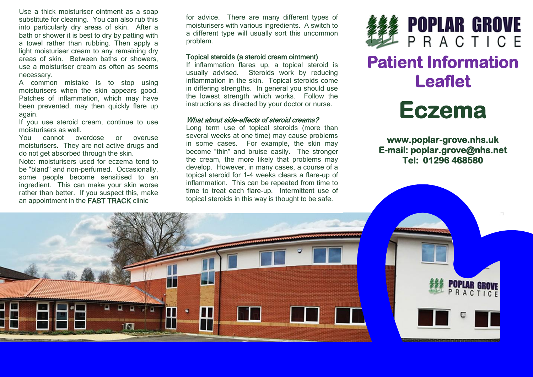Use a thick moisturiser ointment as a soap substitute for cleaning. You can also rub this into particularly dry areas of skin. After a bath or shower it is best to dry by patting with a towel rather than rubbing. Then apply a light moisturiser cream to any remaining dry areas of skin. Between baths or showers, use a moisturiser cream as often as seems necessary.

A common mistake is to stop using moisturisers when the skin appears good. Patches of inflammation, which may have been prevented, may then quickly flare up again.

If you use steroid cream, continue to use moisturisers as well.

You cannot overdose or overuse moisturisers. They are not active drugs and do not get absorbed through the skin.

Note: moisturisers used for eczema tend to be "bland" and non-perfumed. Occasionally, some people become sensitised to an ingredient. This can make your skin worse rather than better. If you suspect this, make an appointment in the FAST TRACK clinic

for advice. There are many different types of moisturisers with various ingredients. A switch to a different type will usually sort this uncommon problem.

## Topical steroids (a steroid cream ointment)

If inflammation flares up, a topical steroid is usually advised. Steroids work by reducing inflammation in the skin. Topical steroids come in differing strengths. In general you should use the lowest strength which works. Follow the instructions as directed by your doctor or nurse.

#### What about side-effects of steroid creams?

Long term use of topical steroids (more than several weeks at one time) may cause problems in some cases. For example, the skin may become "thin" and bruise easily. The stronger the cream, the more likely that problems may develop. However, in many cases, a course of a topical steroid for 1-4 weeks clears a flare-up of inflammation. This can be repeated from time to time to treat each flare-up. Intermittent use of topical steroids in this way is thought to be safe.



# **Patient Information Leaflet**



**www.poplar-grove.nhs.uk E-mail: poplar.grove@nhs.net Tel: 01296 468580**